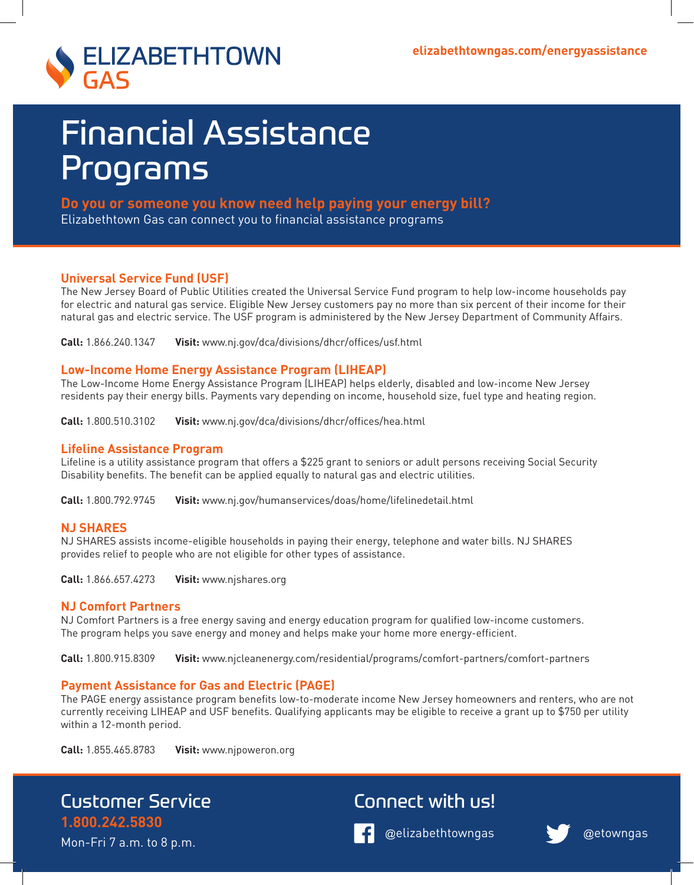

# Financial Assistance Programs

**Do you or someone you know need help paying your energy bill?** Elizabethtown Gas can connect you to financial assistance programs

### **Universal Service Fund (USF)**

The New Jersey Board of Public Utilities created the Universal Service Fund program to help low-income households pay for electric and natural gas service. Eligible New Jersey customers pay no more than six percent of their income for their natural gas and electric service. The USF program is administered by the New Jersey Department of Community Affairs.

**Call:** 1.866.240.1347 **Visit:** www.nj.gov/dca/divisions/dhcr/offices/usf.html

### **Low-Income Home Energy Assistance Program (LIHEAP)**

The Low-Income Home Energy Assistance Program (LIHEAP) helps elderly, disabled and low-income New Jersey residents pay their energy bills. Payments vary depending on income, household size, fuel type and heating region.

**Call:** 1.800.510.3102 **Visit:** www.nj.gov/dca/divisions/dhcr/offices/hea.html

### **Lifeline Assistance Program**

Lifeline is a utility assistance program that offers a \$225 grant to seniors or adult persons receiving Social Security Disability benefits. The benefit can be applied equally to natural gas and electric utilities.

**Call:** 1.800.792.9745 **Visit:** www.nj.gov/humanservices/doas/home/lifelinedetail.html

### **NJ SHARES**

NJ SHARES assists income-eligible households in paying their energy, telephone and water bills. NJ SHARES provides relief to people who are not eligible for other types of assistance.

**Call:** 1.866.657.4273 **Visit:** www.njshares.org

### **NJ Comfort Partners**

NJ Comfort Partners is a free energy saving and energy education program for qualified low-income customers. The program helps you save energy and money and helps make your home more energy-efficient.

**Call:** 1.800.915.8309 **Visit:** www.njcleanenergy.com/residential/programs/comfort-partners/comfort-partners

### **Payment Assistance for Gas and Electric (PAGE)**

The PAGE energy assistance program benefits low-to-moderate income New Jersey homeowners and renters, who are not currently receiving LIHEAP and USF benefits. Qualifying applicants may be eligible to receive a grant up to \$750 per utility within a 12-month period.

**Call:** 1.855.465.8783 **Visit:** www.njpoweron.org

## Customer Service

Mon-Fri 7 a.m. to 8 p.m.

**1.800.242.5830** 

## Connect with us!



@elizabethtowngas @etowngas